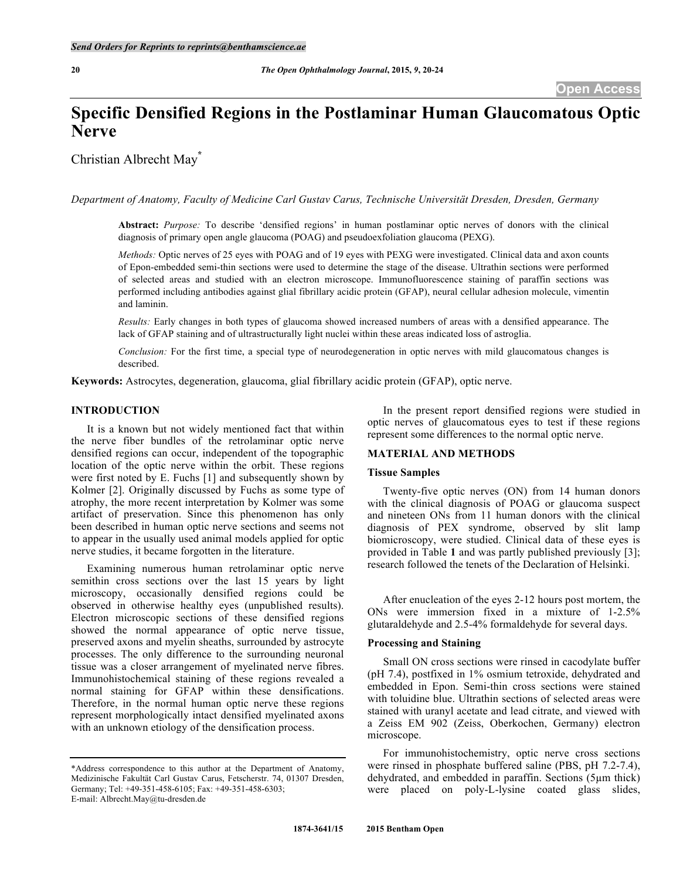# **Specific Densified Regions in the Postlaminar Human Glaucomatous Optic Nerve**

Christian Albrecht May**\***

*Department of Anatomy, Faculty of Medicine Carl Gustav Carus, Technische Universität Dresden, Dresden, Germany*

**Abstract:** *Purpose:* To describe 'densified regions' in human postlaminar optic nerves of donors with the clinical diagnosis of primary open angle glaucoma (POAG) and pseudoexfoliation glaucoma (PEXG).

*Methods:* Optic nerves of 25 eyes with POAG and of 19 eyes with PEXG were investigated. Clinical data and axon counts of Epon-embedded semi-thin sections were used to determine the stage of the disease. Ultrathin sections were performed of selected areas and studied with an electron microscope. Immunofluorescence staining of paraffin sections was performed including antibodies against glial fibrillary acidic protein (GFAP), neural cellular adhesion molecule, vimentin and laminin.

*Results:* Early changes in both types of glaucoma showed increased numbers of areas with a densified appearance. The lack of GFAP staining and of ultrastructurally light nuclei within these areas indicated loss of astroglia.

*Conclusion:* For the first time, a special type of neurodegeneration in optic nerves with mild glaucomatous changes is described.

**Keywords:** Astrocytes, degeneration, glaucoma, glial fibrillary acidic protein (GFAP), optic nerve.

# **INTRODUCTION**

It is a known but not widely mentioned fact that within the nerve fiber bundles of the retrolaminar optic nerve densified regions can occur, independent of the topographic location of the optic nerve within the orbit. These regions were first noted by E. Fuchs [1] and subsequently shown by Kolmer [2]. Originally discussed by Fuchs as some type of atrophy, the more recent interpretation by Kolmer was some artifact of preservation. Since this phenomenon has only been described in human optic nerve sections and seems not to appear in the usually used animal models applied for optic nerve studies, it became forgotten in the literature.

Examining numerous human retrolaminar optic nerve semithin cross sections over the last 15 years by light microscopy, occasionally densified regions could be observed in otherwise healthy eyes (unpublished results). Electron microscopic sections of these densified regions showed the normal appearance of optic nerve tissue, preserved axons and myelin sheaths, surrounded by astrocyte processes. The only difference to the surrounding neuronal tissue was a closer arrangement of myelinated nerve fibres. Immunohistochemical staining of these regions revealed a normal staining for GFAP within these densifications. Therefore, in the normal human optic nerve these regions represent morphologically intact densified myelinated axons with an unknown etiology of the densification process.

In the present report densified regions were studied in optic nerves of glaucomatous eyes to test if these regions represent some differences to the normal optic nerve.

#### **MATERIAL AND METHODS**

## **Tissue Samples**

Twenty-five optic nerves (ON) from 14 human donors with the clinical diagnosis of POAG or glaucoma suspect and nineteen ONs from 11 human donors with the clinical diagnosis of PEX syndrome, observed by slit lamp biomicroscopy, were studied. Clinical data of these eyes is provided in Table **1** and was partly published previously [3]; research followed the tenets of the Declaration of Helsinki.

After enucleation of the eyes 2-12 hours post mortem, the ONs were immersion fixed in a mixture of 1-2.5% glutaraldehyde and 2.5-4% formaldehyde for several days.

#### **Processing and Staining**

Small ON cross sections were rinsed in cacodylate buffer (pH 7.4), postfixed in 1% osmium tetroxide, dehydrated and embedded in Epon. Semi-thin cross sections were stained with toluidine blue. Ultrathin sections of selected areas were stained with uranyl acetate and lead citrate, and viewed with a Zeiss EM 902 (Zeiss, Oberkochen, Germany) electron microscope.

For immunohistochemistry, optic nerve cross sections were rinsed in phosphate buffered saline (PBS, pH 7.2-7.4), dehydrated, and embedded in paraffin. Sections (5µm thick) were placed on poly-L-lysine coated glass slides,

<sup>\*</sup>Address correspondence to this author at the Department of Anatomy, Medizinische Fakultät Carl Gustav Carus, Fetscherstr. 74, 01307 Dresden, Germany; Tel: +49-351-458-6105; Fax: +49-351-458-6303; E-mail: Albrecht.May@tu-dresden.de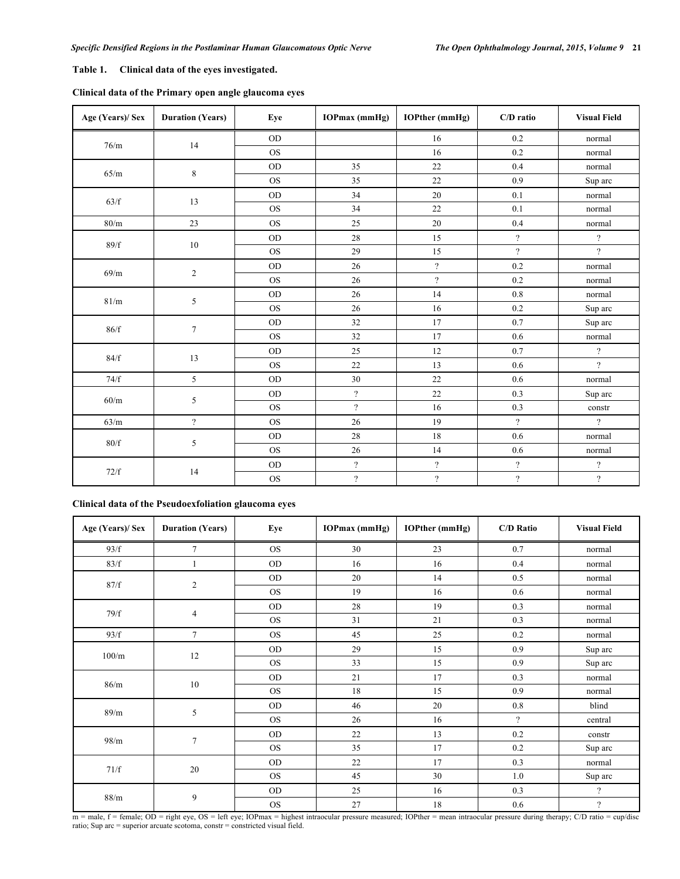# **Table 1. Clinical data of the eyes investigated.**

| Age (Years)/ Sex | <b>Duration (Years)</b>  | Eye       | $IOPmax$ (mmHg)  | <b>IOPther</b> (mmHg) | C/D ratio                  | <b>Visual Field</b>      |
|------------------|--------------------------|-----------|------------------|-----------------------|----------------------------|--------------------------|
| $76/m$           | 14                       | <b>OD</b> |                  | 16                    | 0.2                        | normal                   |
|                  |                          | <b>OS</b> |                  | 16                    | 0.2                        | normal                   |
| 65/m             | $\,8\,$                  | <b>OD</b> | 35               | 22                    | 0.4                        | normal                   |
|                  |                          | <b>OS</b> | 35               | 22                    | 0.9                        | Sup arc                  |
| 63/f             | 13                       | $OD$      | 34               | $20\,$                | 0.1                        | normal                   |
|                  |                          | <b>OS</b> | 34               | 22                    | 0.1                        | normal                   |
| 80/m             | 23                       | <b>OS</b> | 25               | 20                    | 0.4                        | normal                   |
| 89/f             | $10\,$                   | $OD$      | $28\,$           | 15                    | $\overline{\mathcal{L}}$   | $\overline{\mathcal{C}}$ |
|                  |                          | <b>OS</b> | 29               | 15                    | $\gamma$                   | $\gamma$                 |
| 69/m             | $\overline{c}$           | <b>OD</b> | 26               | $\overline{?}$        | 0.2                        | normal                   |
|                  |                          | <b>OS</b> | 26               | $\overline{?}$        | 0.2                        | normal                   |
| 81/m             | 5                        | OD        | 26               | 14                    | $0.8\,$                    | normal                   |
|                  |                          | <b>OS</b> | 26               | 16                    | 0.2                        | Sup arc                  |
| 86/f             | $\boldsymbol{7}$         | <b>OD</b> | 32               | 17                    | 0.7                        | Sup arc                  |
|                  |                          | <b>OS</b> | 32               | 17                    | 0.6                        | normal                   |
| 84/f             | 13                       | $OD$      | 25               | $12\,$                | 0.7                        | $\overline{\mathcal{C}}$ |
|                  |                          | <b>OS</b> | $22\,$           | 13                    | 0.6                        | $\overline{?}$           |
| 74/f             | 5                        | <b>OD</b> | 30               | 22                    | 0.6                        | normal                   |
| $60/m$           | 5                        | <b>OD</b> | $\overline{?}$   | 22                    | 0.3                        | Sup arc                  |
|                  |                          | <b>OS</b> | $\overline{?}$   | 16                    | 0.3                        | constr                   |
| 63/m             | $\overline{\mathcal{L}}$ | <b>OS</b> | 26               | 19                    | $\boldsymbol{\mathcal{P}}$ | $\overline{?}$           |
| $80/f$           | 5                        | $OD$      | 28               | $18\,$                | 0.6                        | normal                   |
|                  |                          | <b>OS</b> | 26               | 14                    | 0.6                        | normal                   |
| 72/f             | 14                       | $OD$      | $\overline{?}$   | $\overline{?}$        | $\overline{\mathcal{L}}$   | $\overline{?}$           |
|                  |                          | $\rm{OS}$ | $\boldsymbol{?}$ | $\overline{?}$        | $\boldsymbol{\mathcal{P}}$ | $\overline{?}$           |

# **Clinical data of the Pseudoexfoliation glaucoma eyes**

| Age (Years)/ Sex | <b>Duration (Years)</b> | Eye       | <b>IOPmax</b> (mmHg) | <b>IOPther</b> (mmHg) | <b>C/D Ratio</b> | <b>Visual Field</b>      |
|------------------|-------------------------|-----------|----------------------|-----------------------|------------------|--------------------------|
| 93/f             | $\tau$                  | <b>OS</b> | 30                   | 23                    | 0.7              | normal                   |
| 83/f             |                         | <b>OD</b> | 16                   | 16                    | 0.4              | normal                   |
| 87/f             | $\overline{c}$          | <b>OD</b> | 20                   | 14                    | 0.5              | normal                   |
|                  |                         | <b>OS</b> | 19                   | 16                    | 0.6              | normal                   |
| 79/f             | $\overline{4}$          | <b>OD</b> | 28                   | 19                    | 0.3              | normal                   |
|                  |                         | <b>OS</b> | 31                   | 21                    | 0.3              | normal                   |
| 93/f             | $\tau$                  | <b>OS</b> | 45                   | 25                    | 0.2              | normal                   |
| 100/m            | 12                      | <b>OD</b> | 29                   | 15                    | 0.9              | Sup arc                  |
|                  |                         | <b>OS</b> | 33                   | 15                    | 0.9              | Sup arc                  |
| 86/m             | 10                      | <b>OD</b> | 21                   | 17                    | 0.3              | normal                   |
|                  |                         | <b>OS</b> | 18                   | 15                    | 0.9              | normal                   |
| 89/m             | 5                       | <b>OD</b> | 46                   | 20                    | 0.8              | blind                    |
|                  |                         | <b>OS</b> | 26                   | 16                    | $\gamma$         | central                  |
| 98/m             | $\tau$                  | <b>OD</b> | 22                   | 13                    | $0.2\,$          | constr                   |
|                  |                         | <b>OS</b> | 35                   | 17                    | 0.2              | Sup arc                  |
| 71/f             | $20\,$                  | <b>OD</b> | 22                   | 17                    | 0.3              | normal                   |
|                  |                         | <b>OS</b> | 45                   | 30                    | 1.0              | Sup arc                  |
| 88/m             | 9                       | <b>OD</b> | 25                   | 16                    | 0.3              | $\overline{\mathcal{L}}$ |
|                  |                         | <b>OS</b> | 27                   | 18                    | $0.6\,$          | $\overline{\mathcal{L}}$ |

m = male, f = female; OD = right eye, OS = left eye; IOPmax = highest intraocular pressure measured; IOPther = mean intraocular pressure during therapy; C/D ratio = cup/disc ratio; Sup arc = superior arcuate scotoma, constr = constricted visual field.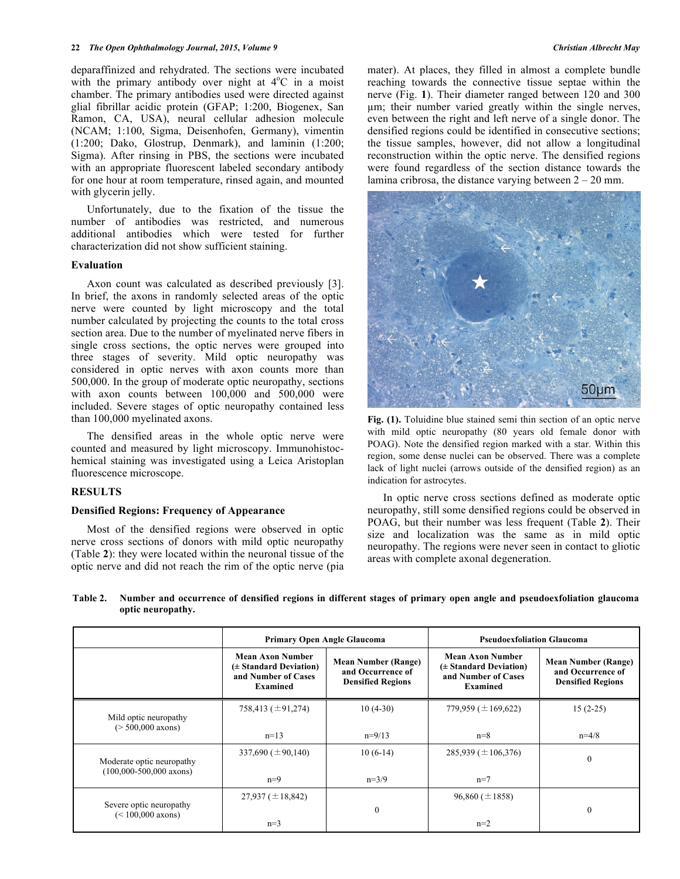deparaffinized and rehydrated. The sections were incubated with the primary antibody over night at  $4^{\circ}$ C in a moist chamber. The primary antibodies used were directed against glial fibrillar acidic protein (GFAP; 1:200, Biogenex, San Ramon, CA, USA), neural cellular adhesion molecule (NCAM; 1:100, Sigma, Deisenhofen, Germany), vimentin (1:200; Dako, Glostrup, Denmark), and laminin (1:200; Sigma). After rinsing in PBS, the sections were incubated with an appropriate fluorescent labeled secondary antibody for one hour at room temperature, rinsed again, and mounted with glycerin jelly.

Unfortunately, due to the fixation of the tissue the number of antibodies was restricted, and numerous additional antibodies which were tested for further characterization did not show sufficient staining.

#### **Evaluation**

Axon count was calculated as described previously [3]. In brief, the axons in randomly selected areas of the optic nerve were counted by light microscopy and the total number calculated by projecting the counts to the total cross section area. Due to the number of myelinated nerve fibers in single cross sections, the optic nerves were grouped into three stages of severity. Mild optic neuropathy was considered in optic nerves with axon counts more than 500,000. In the group of moderate optic neuropathy, sections with axon counts between 100,000 and 500,000 were included. Severe stages of optic neuropathy contained less than 100,000 myelinated axons.

The densified areas in the whole optic nerve were counted and measured by light microscopy. Immunohistochemical staining was investigated using a Leica Aristoplan fluorescence microscope.

## **RESULTS**

## **Densified Regions: Frequency of Appearance**

Most of the densified regions were observed in optic nerve cross sections of donors with mild optic neuropathy (Table **2**): they were located within the neuronal tissue of the optic nerve and did not reach the rim of the optic nerve (pia mater). At places, they filled in almost a complete bundle reaching towards the connective tissue septae within the nerve (Fig. **1**). Their diameter ranged between 120 and 300 µm; their number varied greatly within the single nerves, even between the right and left nerve of a single donor. The densified regions could be identified in consecutive sections; the tissue samples, however, did not allow a longitudinal reconstruction within the optic nerve. The densified regions were found regardless of the section distance towards the lamina cribrosa, the distance varying between  $2 - 20$  mm.



**Fig. (1).** Toluidine blue stained semi thin section of an optic nerve with mild optic neuropathy (80 years old female donor with POAG). Note the densified region marked with a star. Within this region, some dense nuclei can be observed. There was a complete lack of light nuclei (arrows outside of the densified region) as an indication for astrocytes.

In optic nerve cross sections defined as moderate optic neuropathy, still some densified regions could be observed in POAG, but their number was less frequent (Table **2**). Their size and localization was the same as in mild optic neuropathy. The regions were never seen in contact to gliotic areas with complete axonal degeneration.

**Table 2. Number and occurrence of densified regions in different stages of primary open angle and pseudoexfoliation glaucoma optic neuropathy.**

|                                                | <b>Primary Open Angle Glaucoma</b>                                                              |                                                                             | <b>Pseudoexfoliation Glaucoma</b>                                                    |                                                                             |  |
|------------------------------------------------|-------------------------------------------------------------------------------------------------|-----------------------------------------------------------------------------|--------------------------------------------------------------------------------------|-----------------------------------------------------------------------------|--|
|                                                | <b>Mean Axon Number</b><br>$(\pm$ Standard Deviation)<br>and Number of Cases<br><b>Examined</b> | <b>Mean Number (Range)</b><br>and Occurrence of<br><b>Densified Regions</b> | Mean Axon Number<br>(± Standard Deviation)<br>and Number of Cases<br><b>Examined</b> | <b>Mean Number (Range)</b><br>and Occurrence of<br><b>Densified Regions</b> |  |
| Mild optic neuropathy                          | 758,413 ( $\pm$ 91,274)                                                                         | $10(4-30)$                                                                  | 779,959 ( $\pm$ 169,622)                                                             | $15(2-25)$                                                                  |  |
| $($ > 500,000 axons)                           | $n=13$                                                                                          | $n=9/13$                                                                    | $n=8$                                                                                | $n=4/8$                                                                     |  |
| Moderate optic neuropathy                      | 337,690 ( $\pm$ 90,140)                                                                         | $10(6-14)$                                                                  | $285,939 \ (\pm 106,376)$                                                            | $\mathbf{0}$                                                                |  |
| $(100,000-500,000$ axons)                      | $n=9$                                                                                           | $n=3/9$                                                                     | $n=7$                                                                                |                                                                             |  |
|                                                | $27,937 \ (\pm 18,842)$                                                                         |                                                                             | $96,860 (\pm 1858)$                                                                  |                                                                             |  |
| Severe optic neuropathy<br>$(< 100,000$ axons) | $n=3$                                                                                           | $\mathbf{0}$                                                                | $n=2$                                                                                | $\mathbf{0}$                                                                |  |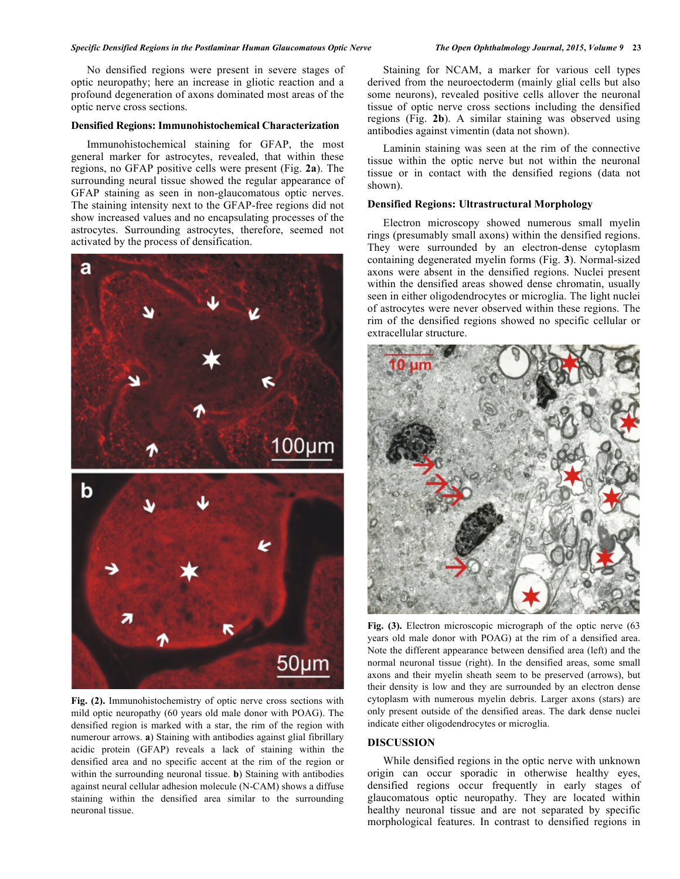#### *Specific Densified Regions in the Postlaminar Human Glaucomatous Optic Nerve The Open Ophthalmology Journal***,** *2015***,** *Volume 9* **23**

No densified regions were present in severe stages of optic neuropathy; here an increase in gliotic reaction and a profound degeneration of axons dominated most areas of the optic nerve cross sections.

#### **Densified Regions: Immunohistochemical Characterization**

Immunohistochemical staining for GFAP, the most general marker for astrocytes, revealed, that within these regions, no GFAP positive cells were present (Fig. **2a**). The surrounding neural tissue showed the regular appearance of GFAP staining as seen in non-glaucomatous optic nerves. The staining intensity next to the GFAP-free regions did not show increased values and no encapsulating processes of the astrocytes. Surrounding astrocytes, therefore, seemed not activated by the process of densification.



**Fig. (2).** Immunohistochemistry of optic nerve cross sections with mild optic neuropathy (60 years old male donor with POAG). The densified region is marked with a star, the rim of the region with numerour arrows. **a**) Staining with antibodies against glial fibrillary acidic protein (GFAP) reveals a lack of staining within the densified area and no specific accent at the rim of the region or within the surrounding neuronal tissue. **b**) Staining with antibodies against neural cellular adhesion molecule (N-CAM) shows a diffuse staining within the densified area similar to the surrounding neuronal tissue.

Staining for NCAM, a marker for various cell types derived from the neuroectoderm (mainly glial cells but also some neurons), revealed positive cells allover the neuronal tissue of optic nerve cross sections including the densified regions (Fig. **2b**). A similar staining was observed using antibodies against vimentin (data not shown).

Laminin staining was seen at the rim of the connective tissue within the optic nerve but not within the neuronal tissue or in contact with the densified regions (data not shown).

# **Densified Regions: Ultrastructural Morphology**

Electron microscopy showed numerous small myelin rings (presumably small axons) within the densified regions. They were surrounded by an electron-dense cytoplasm containing degenerated myelin forms (Fig. **3**). Normal-sized axons were absent in the densified regions. Nuclei present within the densified areas showed dense chromatin, usually seen in either oligodendrocytes or microglia. The light nuclei of astrocytes were never observed within these regions. The rim of the densified regions showed no specific cellular or extracellular structure.



Fig. (3). Electron microscopic micrograph of the optic nerve (63) years old male donor with POAG) at the rim of a densified area. Note the different appearance between densified area (left) and the normal neuronal tissue (right). In the densified areas, some small axons and their myelin sheath seem to be preserved (arrows), but their density is low and they are surrounded by an electron dense cytoplasm with numerous myelin debris. Larger axons (stars) are only present outside of the densified areas. The dark dense nuclei indicate either oligodendrocytes or microglia.

#### **DISCUSSION**

While densified regions in the optic nerve with unknown origin can occur sporadic in otherwise healthy eyes, densified regions occur frequently in early stages of glaucomatous optic neuropathy. They are located within healthy neuronal tissue and are not separated by specific morphological features. In contrast to densified regions in